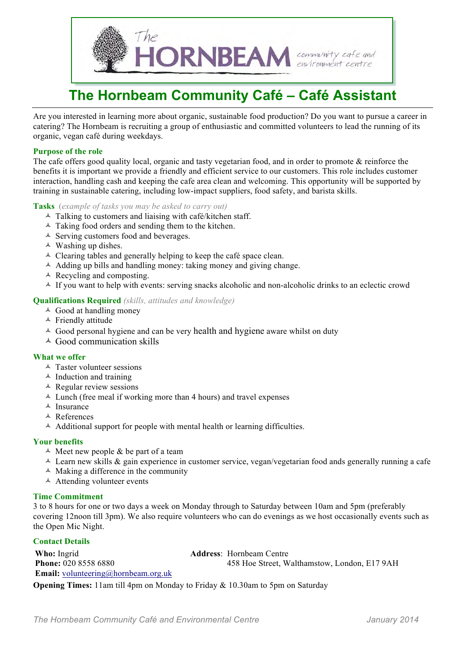

## **The Hornbeam Community Café – Café Assistant**

Are you interested in learning more about organic, sustainable food production? Do you want to pursue a career in catering? The Hornbeam is recruiting a group of enthusiastic and committed volunteers to lead the running of its organic, vegan café during weekdays.

#### **Purpose of the role**

The cafe offers good quality local, organic and tasty vegetarian food, and in order to promote & reinforce the benefits it is important we provide a friendly and efficient service to our customers. This role includes customer interaction, handling cash and keeping the cafe area clean and welcoming. This opportunity will be supported by training in sustainable catering, including low-impact suppliers, food safety, and barista skills.

#### **Tasks** (*example of tasks you may be asked to carry out)*

- $\triangle$  Talking to customers and liaising with café/kitchen staff.
- $\triangle$  Taking food orders and sending them to the kitchen.
- $\triangle$  Serving customers food and beverages.
- $\triangle$  Washing up dishes.
- $\triangle$  Clearing tables and generally helping to keep the café space clean.
- $\triangle$  Adding up bills and handling money: taking money and giving change.
- $\triangle$  Recycling and composting.
- $\triangle$  If you want to help with events: serving snacks alcoholic and non-alcoholic drinks to an eclectic crowd

### **Qualifications Required** *(skills, attitudes and knowledge)*

- $\triangle$  Good at handling money
- $\triangle$  Friendly attitude
- $\triangle$  Good personal hygiene and can be very health and hygiene aware whilst on duty
- $\triangle$  Good communication skills

#### **What we offer**

- $\triangle$  Taster volunteer sessions
- $\triangle$  Induction and training
- $\triangle$  Regular review sessions
- $\triangle$  Lunch (free meal if working more than 4 hours) and travel expenses
- $\triangle$  Insurance
- <sup> $\triangle$ </sup> References
- $\triangle$  Additional support for people with mental health or learning difficulties.

#### **Your benefits**

- $\triangle$  Meet new people & be part of a team
- $\triangle$  Learn new skills & gain experience in customer service, vegan/vegetarian food ands generally running a cafe
- $\triangle$  Making a difference in the community
- $\triangle$  Attending volunteer events

#### **Time Commitment**

3 to 8 hours for one or two days a week on Monday through to Saturday between 10am and 5pm (preferably covering 12noon till 3pm). We also require volunteers who can do evenings as we host occasionally events such as the Open Mic Night.

#### **Contact Details**

| Who: Ingrid                                | <b>Address:</b> Hornbeam Centre              |
|--------------------------------------------|----------------------------------------------|
| <b>Phone: 020 8558 6880</b>                | 458 Hoe Street, Walthamstow, London, E17 9AH |
| <b>Email:</b> volunteering@hornbeam.org.uk |                                              |

**Opening Times:** 11am till 4pm on Monday to Friday & 10.30am to 5pm on Saturday